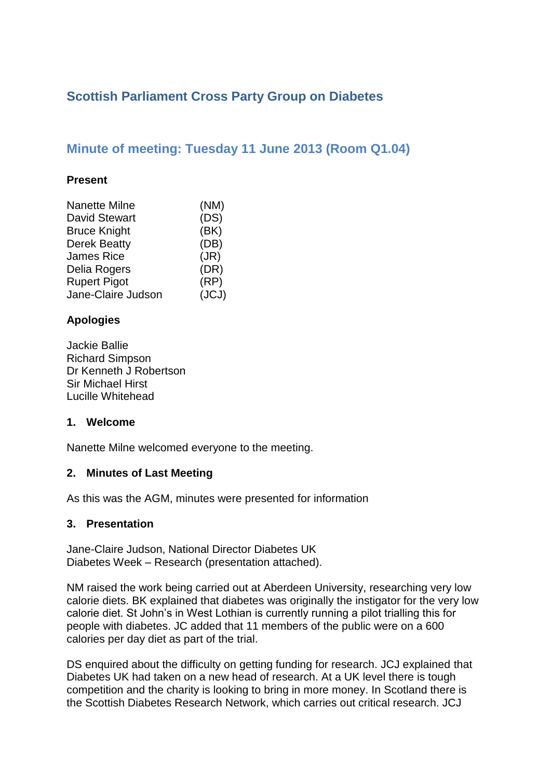# **Scottish Parliament Cross Party Group on Diabetes**

## **Minute of meeting: Tuesday 11 June 2013 (Room Q1.04)**

#### **Present**

| (NM)  |
|-------|
| (DS)  |
| (BK)  |
| (DB)  |
| (JR)  |
| (DR)  |
| (RP)  |
| (JCJ) |
|       |

## **Apologies**

Jackie Ballie Richard Simpson Dr Kenneth J Robertson Sir Michael Hirst Lucille Whitehead

#### **1. Welcome**

Nanette Milne welcomed everyone to the meeting.

#### **2. Minutes of Last Meeting**

As this was the AGM, minutes were presented for information

#### **3. Presentation**

Jane-Claire Judson, National Director Diabetes UK Diabetes Week – Research (presentation attached).

NM raised the work being carried out at Aberdeen University, researching very low calorie diets. BK explained that diabetes was originally the instigator for the very low calorie diet. St John's in West Lothian is currently running a pilot trialling this for people with diabetes. JC added that 11 members of the public were on a 600 calories per day diet as part of the trial.

DS enquired about the difficulty on getting funding for research. JCJ explained that Diabetes UK had taken on a new head of research. At a UK level there is tough competition and the charity is looking to bring in more money. In Scotland there is the Scottish Diabetes Research Network, which carries out critical research. JCJ